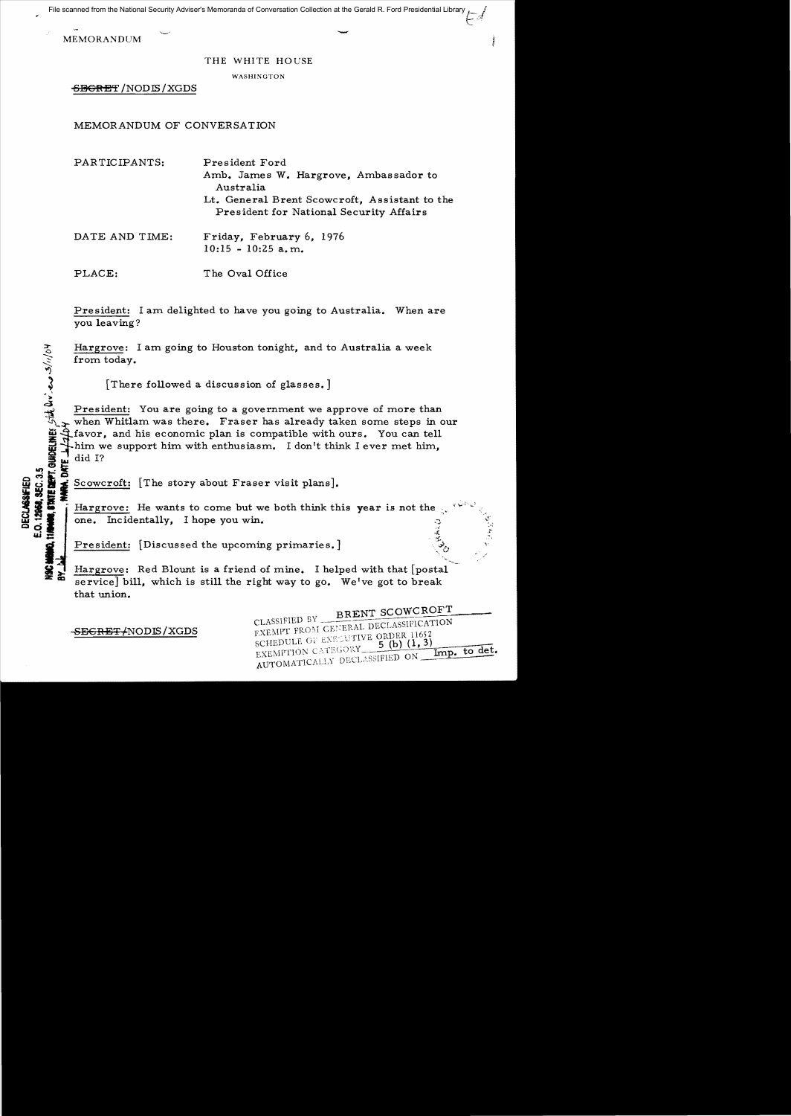File scanned from the National Security Adviser's Memoranda of Conversation Collection at the Gerald R. Ford Presidential Library

MEMORANDUM

## THE WHITE HOUSE

WASHINGTON

SBGRET / NODIS / XGDS

MEMORANDUM OF CONVERSATION

| PARTICIPANTS:  | President Ford<br>Amb. James W. Hargrove, Ambassador to<br>Australia<br>Lt. General Brent Scowcroft, Assistant to the<br>President for National Security Affairs |
|----------------|------------------------------------------------------------------------------------------------------------------------------------------------------------------|
| DATE AND TIME: | Friday, February 6, 1976<br>$10:15 - 10:25$ a.m.                                                                                                                 |
| PLACE:         | The Oval Office                                                                                                                                                  |

President: I am delighted to have you going to Australia. When are you leaving?

Hargrove: I am going to Houston tonight, and to Australia a week from today.

[There followed a discussion of glasses.]

President: You are going to a government we approve of more than when Whitlam was there. Fraser has already taken some steps in our favor, and his economic plan is compatible with ours. You can tell him we support him with enthusiasm. I don't think I ever met him, did I?

Scowcroft: [The story about Fraser visit plans].

Hargrove: He wants to come but we both think this year is not the one. Incidentally, I hope you win. **CERALD** 

President: [Discussed the upcoming primaries.]

Hargrove: Red Blount is a friend of mine. I helped with that [postal service] bill, which is still the right way to go. We've got to break that union.

SEGRET/NODIS/XGDS

DECLASSIFIED<br>D. 12068, SEC. 3.5<br>MAS, STATE DEPT. GUIDELINES. SIJA: (AV.) ed. 3/////04

E.O. 12968, SEC. 3.5<br>11**/64/05**, ETATE DEPT

BRENT SCOWCROFT CLASSIFIED BY\_ EXEMPT FROM GENERAL DECLASSIFICATION RXEMPT FROM GENERAL DECISION SCHEDULE OF EXECUTIVE ORDER 11652  $5(b)$   $(1, 3)$ EXEMPTION CATEGORY Imp. to det. EXEMPTION CATEGORY MELLET ON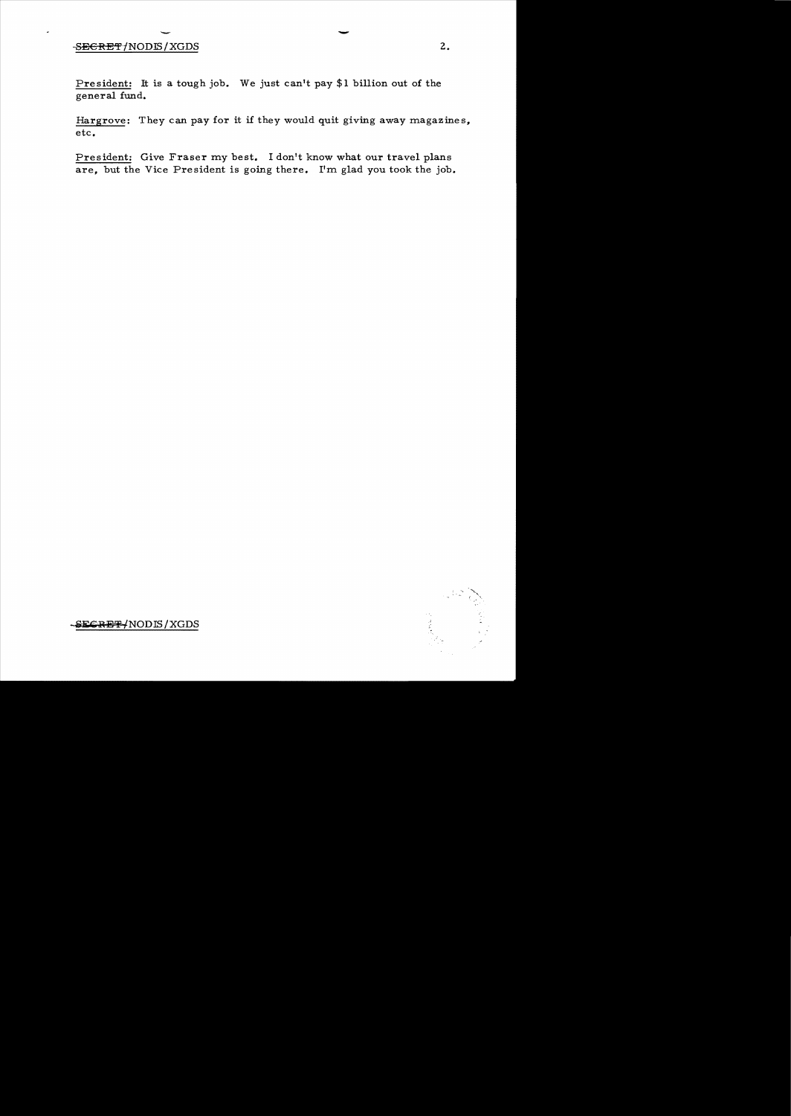## SEGRET/NODIS/XGDS

President: It is a tough job. We just can't pay \$1 billion out of the general fund.

Hargrove: They can pay for it if they would quit giving away magazines, etc.

President: Give Fraser my best. I don't know what our travel plans are, but the Vice President is going there. I'm glad you took the job.



SECRET/NODIS/XGDS